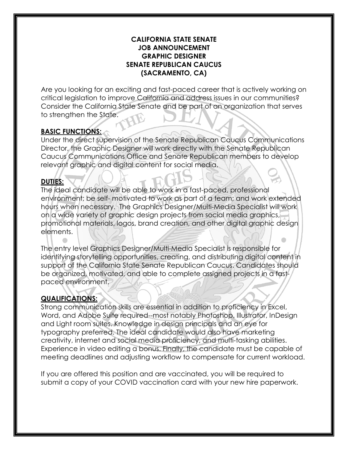#### **CALIFORNIA STATE SENATE JOB ANNOUNCEMENT GRAPHIC DESIGNER SENATE REPUBLICAN CAUCUS (SACRAMENTO, CA)**

Are you looking for an exciting and fast-paced career that is actively working on critical legislation to improve California and address issues in our communities? Consider the California State Senate and be part of an organization that serves to strengthen the State.

## **BASIC FUNCTIONS:**

Under the direct supervision of the Senate Republican Caucus Communications Director, the Graphic Designer will work directly with the Senate Republican Caucus Communications Office and Senate Republican members to develop relevant graphic and digital content for social media.

### **DUTIES:**

The ideal candidate will be able to work in a fast-paced, professional environment; be self- motivated to work as part of a team; and work extended hours when necessary. The Graphics Designer/Multi-Media Specialist will work on a wide variety of graphic design projects from social media graphics, promotional materials, logos, brand creation, and other digital graphic design elements.

The entry level Graphics Designer/Multi-Media Specialist is responsible for identifying storytelling opportunities, creating, and distributing digital content in support of the California State Senate Republican Caucus. Candidates should be organized, motivated, and able to complete assigned projects in a fastpaced environment.

## **QUALIFICATIONS:**

Strong communication skills are essential in addition to proficiency in Excel, Word, and Adobe Suite required--most notably Photoshop, Illustrator, InDesign and Light room suites. Knowledge in design principals and an eye for typography preferred. The ideal candidate would also have marketing creativity, internet and social media proficiency, and multi-tasking abilities. Experience in video editing a bonus. Finally, the candidate must be capable of meeting deadlines and adjusting workflow to compensate for current workload.

If you are offered this position and are vaccinated, you will be required to submit a copy of your COVID vaccination card with your new hire paperwork.